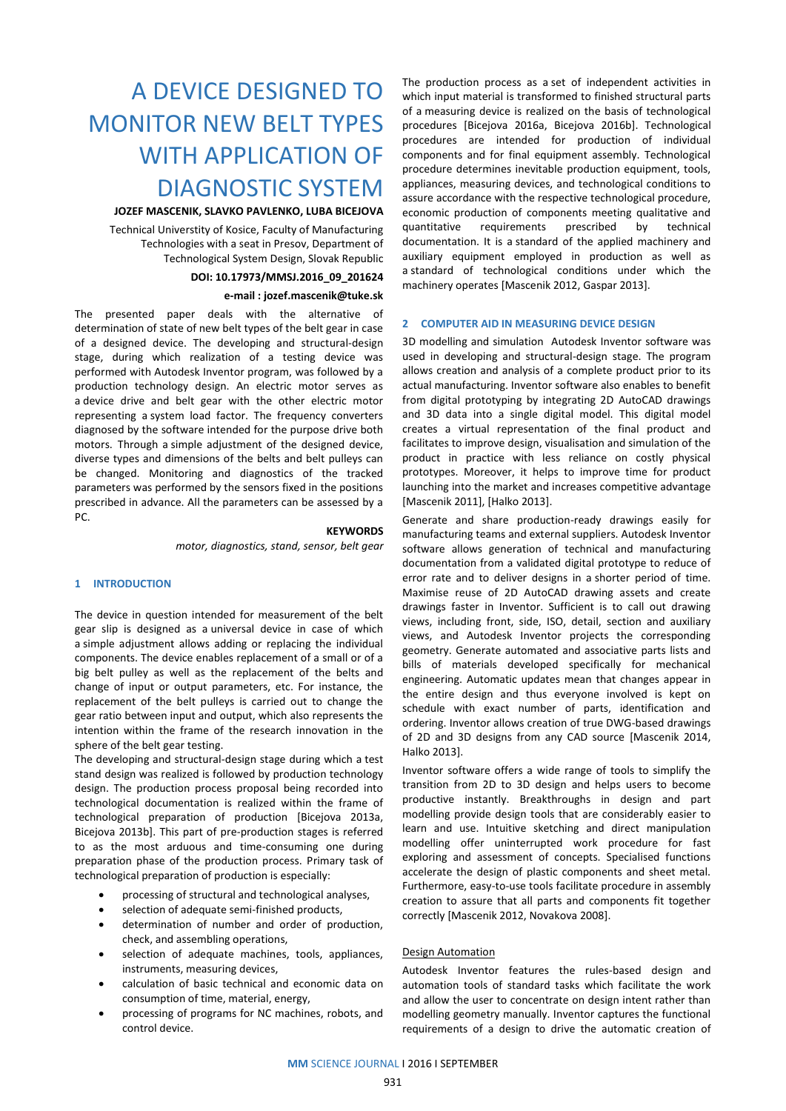# A DEVICE DESIGNED TO MONITOR NEW BELT TYPES WITH APPLICATION OF DIAGNOSTIC SYSTEM

# **JOZEF MASCENIK, SLAVKO PAVLENKO, LUBA BICEJOVA**

Technical Universtity of Kosice, Faculty of Manufacturing Technologies with a seat in Presov, Department of Technological System Design, Slovak Republic

# **DOI: 10.17973/MMSJ.2016\_09\_201624**

# **e-mail : jozef.mascenik@tuke.sk**

The presented paper deals with the alternative of determination of state of new belt types of the belt gear in case of a designed device. The developing and structural-design stage, during which realization of a testing device was performed with Autodesk Inventor program, was followed by a production technology design. An electric motor serves as a device drive and belt gear with the other electric motor representing a system load factor. The frequency converters diagnosed by the software intended for the purpose drive both motors. Through a simple adjustment of the designed device, diverse types and dimensions of the belts and belt pulleys can be changed. Monitoring and diagnostics of the tracked parameters was performed by the sensors fixed in the positions prescribed in advance. All the parameters can be assessed by a PC.

# **KEYWORDS**

*motor, diagnostics, stand, sensor, belt gear*

# **1 INTRODUCTION**

The device in question intended for measurement of the belt gear slip is designed as a universal device in case of which a simple adjustment allows adding or replacing the individual components. The device enables replacement of a small or of a big belt pulley as well as the replacement of the belts and change of input or output parameters, etc. For instance, the replacement of the belt pulleys is carried out to change the gear ratio between input and output, which also represents the intention within the frame of the research innovation in the sphere of the belt gear testing.

The developing and structural-design stage during which a test stand design was realized is followed by production technology design. The production process proposal being recorded into technological documentation is realized within the frame of technological preparation of production [Bicejova 2013a, Bicejova 2013b]. This part of pre-production stages is referred to as the most arduous and time-consuming one during preparation phase of the production process. Primary task of technological preparation of production is especially:

- processing of structural and technological analyses,
- selection of adequate semi-finished products,
- determination of number and order of production, check, and assembling operations,
- selection of adequate machines, tools, appliances, instruments, measuring devices,
- calculation of basic technical and economic data on consumption of time, material, energy,
- processing of programs for NC machines, robots, and control device.

The production process as a set of independent activities in which input material is transformed to finished structural parts of a measuring device is realized on the basis of technological procedures [Bicejova 2016a, Bicejova 2016b]. Technological procedures are intended for production of individual components and for final equipment assembly. Technological procedure determines inevitable production equipment, tools, appliances, measuring devices, and technological conditions to assure accordance with the respective technological procedure, economic production of components meeting qualitative and<br>quantitative requirements prescribed by technical quantitative requirements prescribed by technical documentation. It is a standard of the applied machinery and auxiliary equipment employed in production as well as a standard of technological conditions under which the machinery operates [Mascenik 2012, Gaspar 2013].

# **2 COMPUTER AID IN MEASURING DEVICE DESIGN**

3D modelling and simulation Autodesk Inventor software was used in developing and structural-design stage. The program allows creation and analysis of a complete product prior to its actual manufacturing. Inventor software also enables to benefit from digital prototyping by integrating 2D AutoCAD drawings and 3D data into a single digital model. This digital model creates a virtual representation of the final product and facilitates to improve design, visualisation and simulation of the product in practice with less reliance on costly physical prototypes. Moreover, it helps to improve time for product launching into the market and increases competitive advantage [Mascenik 2011], [Halko 2013].

Generate and share production-ready drawings easily for manufacturing teams and external suppliers. Autodesk Inventor software allows generation of technical and manufacturing documentation from a validated digital prototype to reduce of error rate and to deliver designs in a shorter period of time. Maximise reuse of 2D AutoCAD drawing assets and create drawings faster in Inventor. Sufficient is to call out drawing views, including front, side, ISO, detail, section and auxiliary views, and Autodesk Inventor projects the corresponding geometry. Generate automated and associative parts lists and bills of materials developed specifically for mechanical engineering. Automatic updates mean that changes appear in the entire design and thus everyone involved is kept on schedule with exact number of parts, identification and ordering. Inventor allows creation of true DWG-based drawings of 2D and 3D designs from any CAD source [Mascenik 2014, Halko 2013].

Inventor software offers a wide range of tools to simplify the transition from 2D to 3D design and helps users to become productive instantly. Breakthroughs in design and part modelling provide design tools that are considerably easier to learn and use. Intuitive sketching and direct manipulation modelling offer uninterrupted work procedure for fast exploring and assessment of concepts. Specialised functions accelerate the design of plastic components and sheet metal. Furthermore, easy-to-use tools facilitate procedure in assembly creation to assure that all parts and components fit together correctly [Mascenik 2012, Novakova 2008].

#### Design Automation

Autodesk Inventor features the rules-based design and automation tools of standard tasks which facilitate the work and allow the user to concentrate on design intent rather than modelling geometry manually. Inventor captures the functional requirements of a design to drive the automatic creation of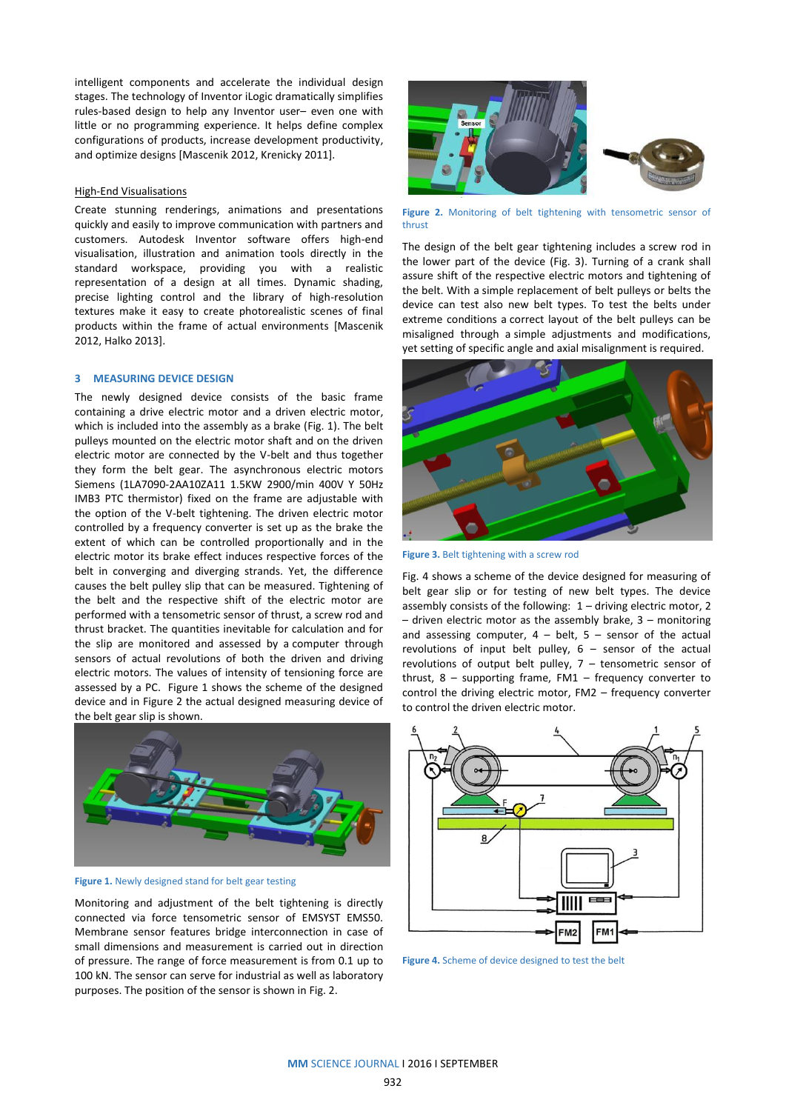intelligent components and accelerate the individual design stages. The technology of Inventor iLogic dramatically simplifies rules-based design to help any Inventor user– even one with little or no programming experience. It helps define complex configurations of products, increase development productivity, and optimize designs [Mascenik 2012, Krenicky 2011].

#### High-End Visualisations

Create stunning renderings, animations and presentations quickly and easily to improve communication with partners and customers. Autodesk Inventor software offers high-end visualisation, illustration and animation tools directly in the standard workspace, providing you with a realistic representation of a design at all times. Dynamic shading, precise lighting control and the library of high-resolution textures make it easy to create photorealistic scenes of final products within the frame of actual environments [Mascenik 2012, Halko 2013].

# **3 MEASURING DEVICE DESIGN**

The newly designed device consists of the basic frame containing a drive electric motor and a driven electric motor, which is included into the assembly as a brake (Fig. 1). The belt pulleys mounted on the electric motor shaft and on the driven electric motor are connected by the V-belt and thus together they form the belt gear. The asynchronous electric motors Siemens (1LA7090-2AA10ZA11 1.5KW 2900/min 400V Y 50Hz IMB3 PTC thermistor) fixed on the frame are adjustable with the option of the V-belt tightening. The driven electric motor controlled by a frequency converter is set up as the brake the extent of which can be controlled proportionally and in the electric motor its brake effect induces respective forces of the belt in converging and diverging strands. Yet, the difference causes the belt pulley slip that can be measured. Tightening of the belt and the respective shift of the electric motor are performed with a tensometric sensor of thrust, a screw rod and thrust bracket. The quantities inevitable for calculation and for the slip are monitored and assessed by a computer through sensors of actual revolutions of both the driven and driving electric motors. The values of intensity of tensioning force are assessed by a PC. Figure 1 shows the scheme of the designed device and in Figure 2 the actual designed measuring device of the belt gear slip is shown.



**Figure 1.** Newly designed stand for belt gear testing

Monitoring and adjustment of the belt tightening is directly connected via force tensometric sensor of EMSYST EMS50. Membrane sensor features bridge interconnection in case of small dimensions and measurement is carried out in direction of pressure. The range of force measurement is from 0.1 up to 100 kN. The sensor can serve for industrial as well as laboratory purposes. The position of the sensor is shown in Fig. 2.



**Figure 2.** Monitoring of belt tightening with tensometric sensor of thrust

The design of the belt gear tightening includes a screw rod in the lower part of the device (Fig. 3). Turning of a crank shall assure shift of the respective electric motors and tightening of the belt. With a simple replacement of belt pulleys or belts the device can test also new belt types. To test the belts under extreme conditions a correct layout of the belt pulleys can be misaligned through a simple adjustments and modifications, yet setting of specific angle and axial misalignment is required.



**Figure 3.** Belt tightening with a screw rod

Fig. 4 shows a scheme of the device designed for measuring of belt gear slip or for testing of new belt types. The device assembly consists of the following: 1 – driving electric motor, 2 – driven electric motor as the assembly brake, 3 – monitoring and assessing computer,  $4 - \text{belt}$ ,  $5 - \text{sensor}$  of the actual revolutions of input belt pulley,  $6 -$  sensor of the actual revolutions of output belt pulley, 7 – tensometric sensor of thrust,  $8 -$  supporting frame, FM1 – frequency converter to control the driving electric motor, FM2 – frequency converter to control the driven electric motor.



**Figure 4.** Scheme of device designed to test the belt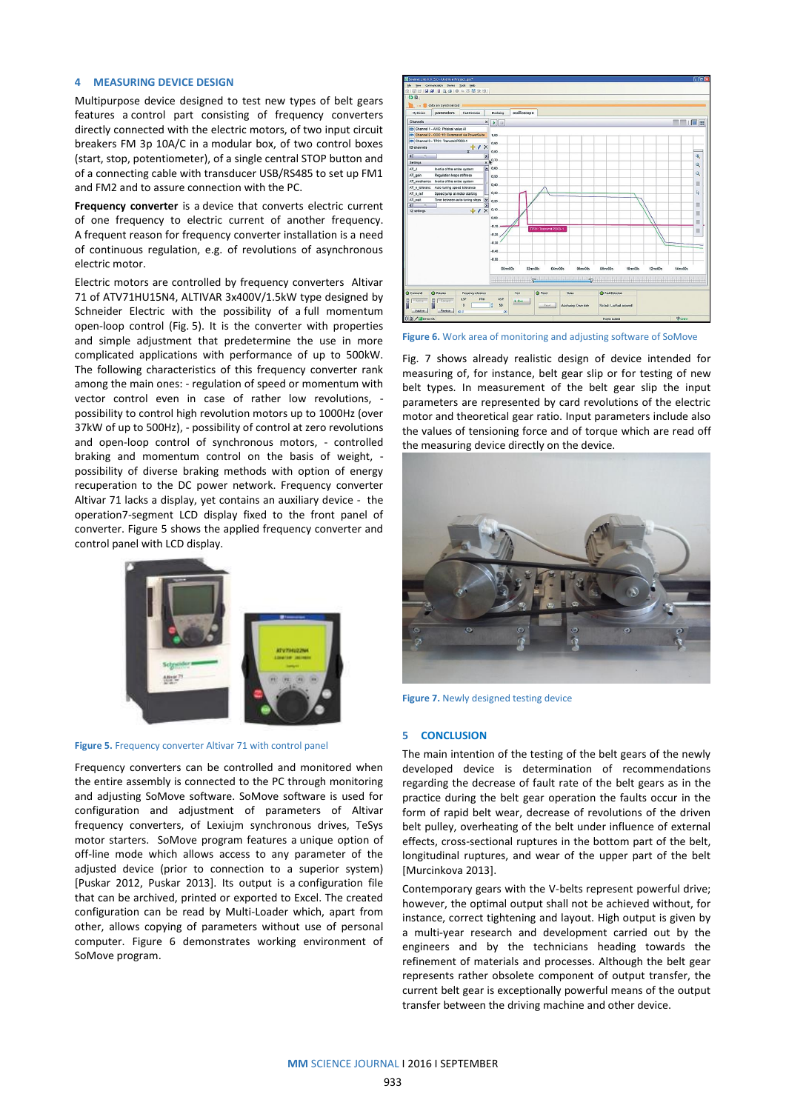## **4 MEASURING DEVICE DESIGN**

Multipurpose device designed to test new types of belt gears features a control part consisting of frequency converters directly connected with the electric motors, of two input circuit breakers FM 3p 10A/C in a modular box, of two control boxes (start, stop, potentiometer), of a single central STOP button and of a connecting cable with transducer USB/RS485 to set up FM1 and FM2 and to assure connection with the PC.

**Frequency converter** is a device that converts electric current of one frequency to electric current of another frequency. A frequent reason for frequency converter installation is a need of continuous regulation, e.g. of revolutions of asynchronous electric motor.

Electric motors are controlled by frequency converters Altivar 71 of ATV71HU15N4, ALTIVAR 3x400V/1.5kW type designed by Schneider Electric with the possibility of a full momentum open-loop control (Fig. 5). It is the converter with properties and simple adjustment that predetermine the use in more complicated applications with performance of up to 500kW. The following characteristics of this frequency converter rank among the main ones: - regulation of speed or momentum with vector control even in case of rather low revolutions, possibility to control high revolution motors up to 1000Hz (over 37kW of up to 500Hz), - possibility of control at zero revolutions and open-loop control of synchronous motors, - controlled braking and momentum control on the basis of weight, possibility of diverse braking methods with option of energy recuperation to the DC power network. Frequency converter Altivar 71 lacks a display, yet contains an auxiliary device - the operation7-segment LCD display fixed to the front panel of converter. Figure 5 shows the applied frequency converter and control panel with LCD display.



# **Figure 5.** Frequency converter Altivar 71 with control panel

Frequency converters can be controlled and monitored when the entire assembly is connected to the PC through monitoring and adjusting SoMove software. SoMove software is used for configuration and adjustment of parameters of Altivar frequency converters, of Lexiujm synchronous drives, TeSys motor starters. SoMove program features a unique option of off-line mode which allows access to any parameter of the adjusted device (prior to connection to a superior system) [Puskar 2012, Puskar 2013]. Its output is a configuration file that can be archived, printed or exported to Excel. The created configuration can be read by Multi-Loader which, apart from other, allows copying of parameters without use of personal computer. Figure 6 demonstrates working environment of SoMove program.



**Figure 6.** Work area of monitoring and adjusting software of SoMove

Fig. 7 shows already realistic design of device intended for measuring of, for instance, belt gear slip or for testing of new belt types. In measurement of the belt gear slip the input parameters are represented by card revolutions of the electric motor and theoretical gear ratio. Input parameters include also the values of tensioning force and of torque which are read off the measuring device directly on the device.



**Figure 7.** Newly designed testing device

#### **5 CONCLUSION**

The main intention of the testing of the belt gears of the newly developed device is determination of recommendations regarding the decrease of fault rate of the belt gears as in the practice during the belt gear operation the faults occur in the form of rapid belt wear, decrease of revolutions of the driven belt pulley, overheating of the belt under influence of external effects, cross-sectional ruptures in the bottom part of the belt, longitudinal ruptures, and wear of the upper part of the belt [Murcinkova 2013].

Contemporary gears with the V-belts represent powerful drive; however, the optimal output shall not be achieved without, for instance, correct tightening and layout. High output is given by a multi-year research and development carried out by the engineers and by the technicians heading towards the refinement of materials and processes. Although the belt gear represents rather obsolete component of output transfer, the current belt gear is exceptionally powerful means of the output transfer between the driving machine and other device.